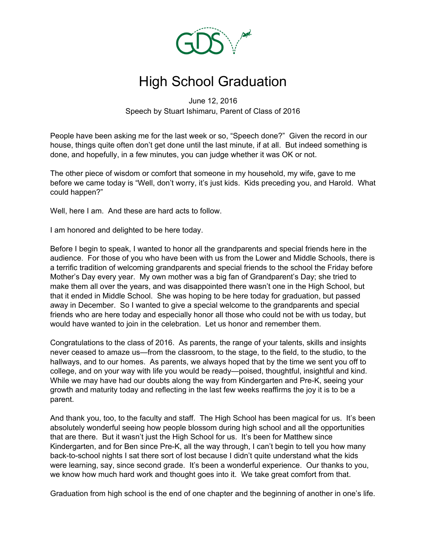

## High School Graduation

June 12, 2016 Speech by Stuart Ishimaru, Parent of Class of 2016

People have been asking me for the last week or so, "Speech done?" Given the record in our house, things quite often don't get done until the last minute, if at all. But indeed something is done, and hopefully, in a few minutes, you can judge whether it was OK or not.

The other piece of wisdom or comfort that someone in my household, my wife, gave to me before we came today is "Well, don't worry, it's just kids. Kids preceding you, and Harold. What could happen?"

Well, here I am. And these are hard acts to follow.

I am honored and delighted to be here today.

Before I begin to speak, I wanted to honor all the grandparents and special friends here in the audience. For those of you who have been with us from the Lower and Middle Schools, there is a terrific tradition of welcoming grandparents and special friends to the school the Friday before Mother's Day every year. My own mother was a big fan of Grandparent's Day; she tried to make them all over the years, and was disappointed there wasn't one in the High School, but that it ended in Middle School. She was hoping to be here today for graduation, but passed away in December. So I wanted to give a special welcome to the grandparents and special friends who are here today and especially honor all those who could not be with us today, but would have wanted to join in the celebration. Let us honor and remember them.

Congratulations to the class of 2016. As parents, the range of your talents, skills and insights never ceased to amaze us—from the classroom, to the stage, to the field, to the studio, to the hallways, and to our homes. As parents, we always hoped that by the time we sent you off to college, and on your way with life you would be ready—poised, thoughtful, insightful and kind. While we may have had our doubts along the way from Kindergarten and Pre-K, seeing your growth and maturity today and reflecting in the last few weeks reaffirms the joy it is to be a parent.

And thank you, too, to the faculty and staff. The High School has been magical for us. It's been absolutely wonderful seeing how people blossom during high school and all the opportunities that are there. But it wasn't just the High School for us. It's been for Matthew since Kindergarten, and for Ben since Pre-K, all the way through, I can't begin to tell you how many back-to-school nights I sat there sort of lost because I didn't quite understand what the kids were learning, say, since second grade. It's been a wonderful experience. Our thanks to you, we know how much hard work and thought goes into it. We take great comfort from that.

Graduation from high school is the end of one chapter and the beginning of another in one's life.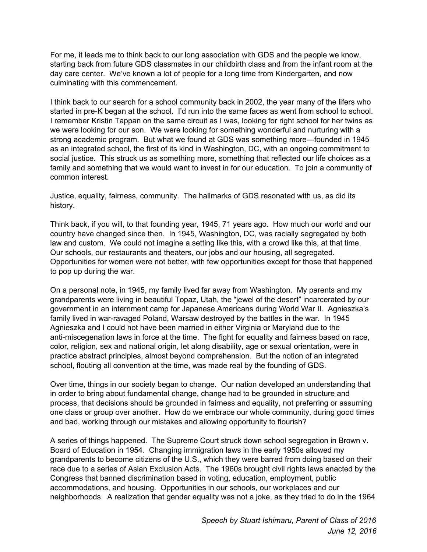For me, it leads me to think back to our long association with GDS and the people we know, starting back from future GDS classmates in our childbirth class and from the infant room at the day care center. We've known a lot of people for a long time from Kindergarten, and now culminating with this commencement.

I think back to our search for a school community back in 2002, the year many of the lifers who started in pre-K began at the school. I'd run into the same faces as went from school to school. I remember Kristin Tappan on the same circuit as I was, looking for right school for her twins as we were looking for our son. We were looking for something wonderful and nurturing with a strong academic program. But what we found at GDS was something more—founded in 1945 as an integrated school, the first of its kind in Washington, DC, with an ongoing commitment to social justice. This struck us as something more, something that reflected our life choices as a family and something that we would want to invest in for our education. To join a community of common interest.

Justice, equality, fairness, community. The hallmarks of GDS resonated with us, as did its history.

Think back, if you will, to that founding year, 1945, 71 years ago. How much our world and our country have changed since then. In 1945, Washington, DC, was racially segregated by both law and custom. We could not imagine a setting like this, with a crowd like this, at that time. Our schools, our restaurants and theaters, our jobs and our housing, all segregated. Opportunities for women were not better, with few opportunities except for those that happened to pop up during the war.

On a personal note, in 1945, my family lived far away from Washington. My parents and my grandparents were living in beautiful Topaz, Utah, the "jewel of the desert" incarcerated by our government in an internment camp for Japanese Americans during World War II. Agnieszka's family lived in war-ravaged Poland, Warsaw destroyed by the battles in the war. In 1945 Agnieszka and I could not have been married in either Virginia or Maryland due to the anti-miscegenation laws in force at the time. The fight for equality and fairness based on race, color, religion, sex and national origin, let along disability, age or sexual orientation, were in practice abstract principles, almost beyond comprehension. But the notion of an integrated school, flouting all convention at the time, was made real by the founding of GDS.

Over time, things in our society began to change. Our nation developed an understanding that in order to bring about fundamental change, change had to be grounded in structure and process, that decisions should be grounded in fairness and equality, not preferring or assuming one class or group over another. How do we embrace our whole community, during good times and bad, working through our mistakes and allowing opportunity to flourish?

A series of things happened. The Supreme Court struck down school segregation in Brown v. Board of Education in 1954. Changing immigration laws in the early 1950s allowed my grandparents to become citizens of the U.S., which they were barred from doing based on their race due to a series of Asian Exclusion Acts. The 1960s brought civil rights laws enacted by the Congress that banned discrimination based in voting, education, employment, public accommodations, and housing. Opportunities in our schools, our workplaces and our neighborhoods. A realization that gender equality was not a joke, as they tried to do in the 1964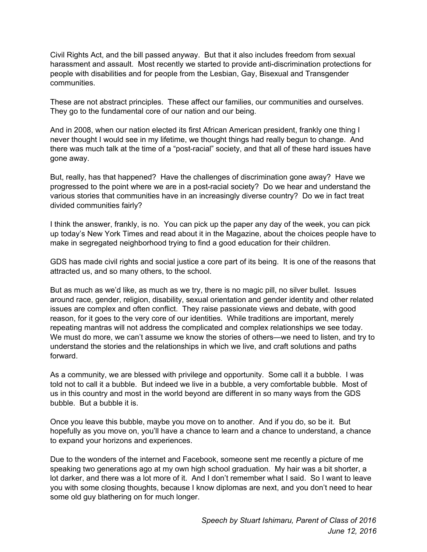Civil Rights Act, and the bill passed anyway. But that it also includes freedom from sexual harassment and assault. Most recently we started to provide anti-discrimination protections for people with disabilities and for people from the Lesbian, Gay, Bisexual and Transgender communities.

These are not abstract principles. These affect our families, our communities and ourselves. They go to the fundamental core of our nation and our being.

And in 2008, when our nation elected its first African American president, frankly one thing I never thought I would see in my lifetime, we thought things had really begun to change. And there was much talk at the time of a "post-racial" society, and that all of these hard issues have gone away.

But, really, has that happened? Have the challenges of discrimination gone away? Have we progressed to the point where we are in a post-racial society? Do we hear and understand the various stories that communities have in an increasingly diverse country? Do we in fact treat divided communities fairly?

I think the answer, frankly, is no. You can pick up the paper any day of the week, you can pick up today's New York Times and read about it in the Magazine, about the choices people have to make in segregated neighborhood trying to find a good education for their children.

GDS has made civil rights and social justice a core part of its being. It is one of the reasons that attracted us, and so many others, to the school.

But as much as we'd like, as much as we try, there is no magic pill, no silver bullet. Issues around race, gender, religion, disability, sexual orientation and gender identity and other related issues are complex and often conflict. They raise passionate views and debate, with good reason, for it goes to the very core of our identities. While traditions are important, merely repeating mantras will not address the complicated and complex relationships we see today. We must do more, we can't assume we know the stories of others—we need to listen, and try to understand the stories and the relationships in which we live, and craft solutions and paths forward.

As a community, we are blessed with privilege and opportunity. Some call it a bubble. I was told not to call it a bubble. But indeed we live in a bubble, a very comfortable bubble. Most of us in this country and most in the world beyond are different in so many ways from the GDS bubble. But a bubble it is.

Once you leave this bubble, maybe you move on to another. And if you do, so be it. But hopefully as you move on, you'll have a chance to learn and a chance to understand, a chance to expand your horizons and experiences.

Due to the wonders of the internet and Facebook, someone sent me recently a picture of me speaking two generations ago at my own high school graduation. My hair was a bit shorter, a lot darker, and there was a lot more of it. And I don't remember what I said. So I want to leave you with some closing thoughts, because I know diplomas are next, and you don't need to hear some old guy blathering on for much longer.